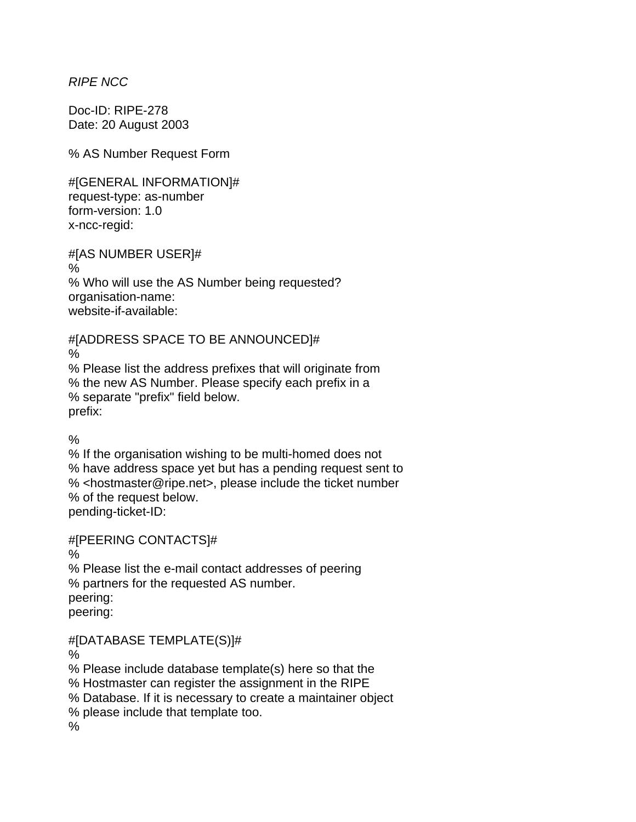*RIPE NCC* 

Doc-ID: RIPE-278 Date: 20 August 2003

% AS Number Request Form

#[GENERAL INFORMATION]# request-type: as-number form-version: 1.0 x-ncc-regid:

#[AS NUMBER USER]# % % Who will use the AS Number being requested? organisation-name: website-if-available:

#[ADDRESS SPACE TO BE ANNOUNCED]#

%

% Please list the address prefixes that will originate from % the new AS Number. Please specify each prefix in a % separate "prefix" field below. prefix:

%

% If the organisation wishing to be multi-homed does not % have address space yet but has a pending request sent to % <hostmaster@ripe.net>, please include the ticket number % of the request below. pending-ticket-ID:

#[PEERING CONTACTS]#

%

% Please list the e-mail contact addresses of peering % partners for the requested AS number. peering: peering:

#[DATABASE TEMPLATE(S)]#

%

% Please include database template(s) here so that the

% Hostmaster can register the assignment in the RIPE

% Database. If it is necessary to create a maintainer object

% please include that template too.

 $\frac{0}{0}$